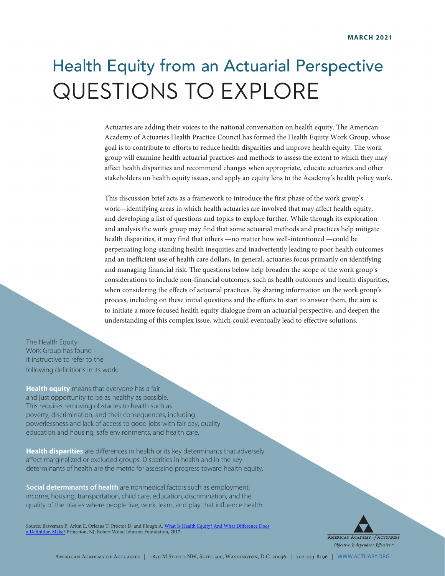# Health Equity from an Actuarial Perspective QUESTIONS TO EXPLORE

Actuaries are adding their voices to the national conversation on health equity. The American Academy of Actuaries Health Practice Council has formed the Health Equity Work Group, whose goal is to contribute to efforts to reduce health disparities and improve health equity. The work group will examine health actuarial practices and methods to assess the extent to which they may affect health disparities and recommend changes when appropriate, educate actuaries and other stakeholders on health equity issues, and apply an equity lens to the Academy's health policy work.

This discussion brief acts as a framework to introduce the first phase of the work group's work—identifying areas in which health actuaries are involved that may affect health equity, and developing a list of questions and topics to explore further. While through its exploration and analysis the work group may find that some actuarial methods and practices help mitigate health disparities, it may find that others —no matter how well-intentioned —could be perpetuating long-standing health inequities and inadvertently leading to poor health outcomes and an inefficient use of health care dollars. In general, actuaries focus primarily on identifying and managing financial risk. The questions below help broaden the scope of the work group's considerations to include non-financial outcomes, such as health outcomes and health disparities, when considering the effects of actuarial practices. By sharing information on the work group's process, including on these initial questions and the efforts to start to answer them, the aim is to initiate a more focused health equity dialogue from an actuarial perspective, and deepen the understanding of this complex issue, which could eventually lead to effective solutions.

The Health Equity Work Group has found it instructive to refer to the following definitions in its work:

**Health equity** means that everyone has a fair and just opportunity to be as healthy as possible. This requires removing obstacles to health such as poverty, discrimination, and their consequences, including powerlessness and lack of access to good jobs with fair pay, quality education and housing, safe environments, and health care.

**Health disparities** are differences in health or its key determinants that adversely affect marginalized or excluded groups. Disparities in health and in the key determinants of health are the metric for assessing progress toward health equity.

**Social determinants of health** are nonmedical factors such as employment, income, housing, transportation, child care, education, discrimination, and the quality of the places where people live, work, learn, and play that influence health.

Source: Braveman P, Arkin E, Orleans T, Proctor D, and Plough A. What Is Health Equity? And What Difference Does [a Definition Make?](https://www.rwjf.org/en/library/research/2017/05/what-is-health-equity-.html) Princeton, NJ: Robert Wood Johnson Foundation, 2017.

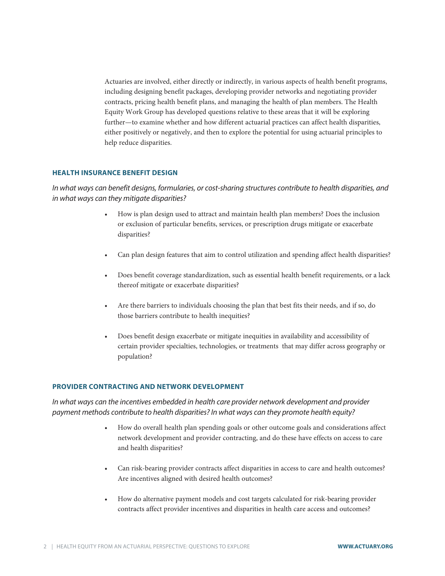Actuaries are involved, either directly or indirectly, in various aspects of health benefit programs, including designing benefit packages, developing provider networks and negotiating provider contracts, pricing health benefit plans, and managing the health of plan members. The Health Equity Work Group has developed questions relative to these areas that it will be exploring further—to examine whether and how different actuarial practices can affect health disparities, either positively or negatively, and then to explore the potential for using actuarial principles to help reduce disparities.

## **HEALTH INSURANCE BENEFIT DESIGN**

*In what ways can benefit designs, formularies, or cost-sharing structures contribute to health disparities, and in what ways can they mitigate disparities?*

- How is plan design used to attract and maintain health plan members? Does the inclusion or exclusion of particular benefits, services, or prescription drugs mitigate or exacerbate disparities?
- Can plan design features that aim to control utilization and spending affect health disparities?
- Does benefit coverage standardization, such as essential health benefit requirements, or a lack thereof mitigate or exacerbate disparities?
- Are there barriers to individuals choosing the plan that best fits their needs, and if so, do those barriers contribute to health inequities?
- Does benefit design exacerbate or mitigate inequities in availability and accessibility of certain provider specialties, technologies, or treatments that may differ across geography or population?

#### **PROVIDER CONTRACTING AND NETWORK DEVELOPMENT**

*In what ways can the incentives embedded in health care provider network development and provider payment methods contribute to health disparities? In what ways can they promote health equity?* 

- How do overall health plan spending goals or other outcome goals and considerations affect network development and provider contracting, and do these have effects on access to care and health disparities?
- Can risk-bearing provider contracts affect disparities in access to care and health outcomes? Are incentives aligned with desired health outcomes?
- How do alternative payment models and cost targets calculated for risk-bearing provider contracts affect provider incentives and disparities in health care access and outcomes?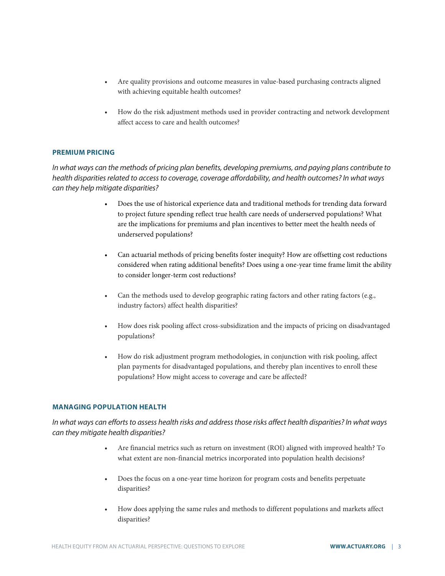- Are quality provisions and outcome measures in value-based purchasing contracts aligned with achieving equitable health outcomes?
- How do the risk adjustment methods used in provider contracting and network development affect access to care and health outcomes?

## **PREMIUM PRICING**

*In what ways can the methods of pricing plan benefits, developing premiums, and paying plans contribute to health disparities related to access to coverage, coverage affordability, and health outcomes? In what ways can they help mitigate disparities?*

- Does the use of historical experience data and traditional methods for trending data forward to project future spending reflect true health care needs of underserved populations? What are the implications for premiums and plan incentives to better meet the health needs of underserved populations?
- Can actuarial methods of pricing benefits foster inequity? How are offsetting cost reductions considered when rating additional benefits? Does using a one-year time frame limit the ability to consider longer-term cost reductions?
- Can the methods used to develop geographic rating factors and other rating factors (e.g., industry factors) affect health disparities?
- How does risk pooling affect cross-subsidization and the impacts of pricing on disadvantaged populations?
- How do risk adjustment program methodologies, in conjunction with risk pooling, affect plan payments for disadvantaged populations, and thereby plan incentives to enroll these populations? How might access to coverage and care be affected?

### **MANAGING POPULATION HEALTH**

*In what ways can efforts to assess health risks and address those risks affect health disparities? In what ways can they mitigate health disparities?*

- Are financial metrics such as return on investment (ROI) aligned with improved health? To what extent are non-financial metrics incorporated into population health decisions?
- Does the focus on a one-year time horizon for program costs and benefits perpetuate disparities?
- How does applying the same rules and methods to different populations and markets affect disparities?